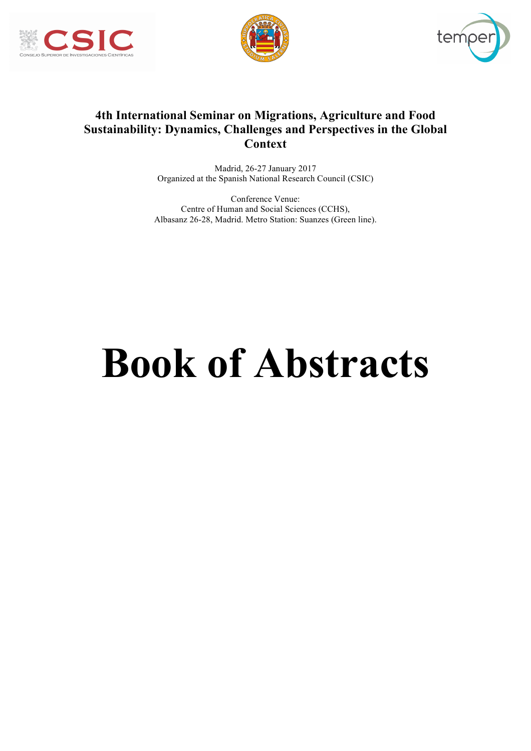





# **4th International Seminar on Migrations, Agriculture and Food Sustainability: Dynamics, Challenges and Perspectives in the Global Context**

Madrid, 26-27 January 2017 Organized at the Spanish National Research Council (CSIC)

Conference Venue: Centre of Human and Social Sciences (CCHS), Albasanz 26-28, Madrid. Metro Station: Suanzes (Green line).

# **Book of Abstracts**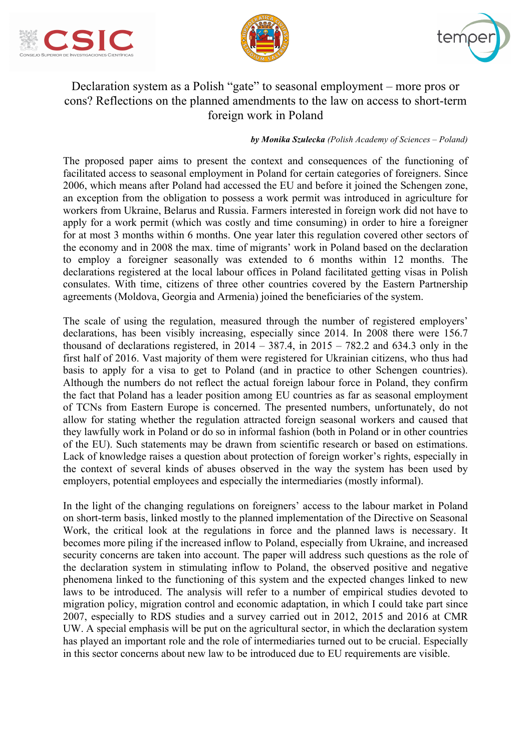





# Declaration system as a Polish "gate" to seasonal employment – more pros or cons? Reflections on the planned amendments to the law on access to short-term foreign work in Poland

#### *by Monika Szulecka (Polish Academy of Sciences – Poland)*

The proposed paper aims to present the context and consequences of the functioning of facilitated access to seasonal employment in Poland for certain categories of foreigners. Since 2006, which means after Poland had accessed the EU and before it joined the Schengen zone, an exception from the obligation to possess a work permit was introduced in agriculture for workers from Ukraine, Belarus and Russia. Farmers interested in foreign work did not have to apply for a work permit (which was costly and time consuming) in order to hire a foreigner for at most 3 months within 6 months. One year later this regulation covered other sectors of the economy and in 2008 the max. time of migrants' work in Poland based on the declaration to employ a foreigner seasonally was extended to 6 months within 12 months. The declarations registered at the local labour offices in Poland facilitated getting visas in Polish consulates. With time, citizens of three other countries covered by the Eastern Partnership agreements (Moldova, Georgia and Armenia) joined the beneficiaries of the system.

The scale of using the regulation, measured through the number of registered employers' declarations, has been visibly increasing, especially since 2014. In 2008 there were 156.7 thousand of declarations registered, in  $2014 - 387.4$ , in  $2015 - 782.2$  and 634.3 only in the first half of 2016. Vast majority of them were registered for Ukrainian citizens, who thus had basis to apply for a visa to get to Poland (and in practice to other Schengen countries). Although the numbers do not reflect the actual foreign labour force in Poland, they confirm the fact that Poland has a leader position among EU countries as far as seasonal employment of TCNs from Eastern Europe is concerned. The presented numbers, unfortunately, do not allow for stating whether the regulation attracted foreign seasonal workers and caused that they lawfully work in Poland or do so in informal fashion (both in Poland or in other countries of the EU). Such statements may be drawn from scientific research or based on estimations. Lack of knowledge raises a question about protection of foreign worker's rights, especially in the context of several kinds of abuses observed in the way the system has been used by employers, potential employees and especially the intermediaries (mostly informal).

In the light of the changing regulations on foreigners' access to the labour market in Poland on short-term basis, linked mostly to the planned implementation of the Directive on Seasonal Work, the critical look at the regulations in force and the planned laws is necessary. It becomes more piling if the increased inflow to Poland, especially from Ukraine, and increased security concerns are taken into account. The paper will address such questions as the role of the declaration system in stimulating inflow to Poland, the observed positive and negative phenomena linked to the functioning of this system and the expected changes linked to new laws to be introduced. The analysis will refer to a number of empirical studies devoted to migration policy, migration control and economic adaptation, in which I could take part since 2007, especially to RDS studies and a survey carried out in 2012, 2015 and 2016 at CMR UW. A special emphasis will be put on the agricultural sector, in which the declaration system has played an important role and the role of intermediaries turned out to be crucial. Especially in this sector concerns about new law to be introduced due to EU requirements are visible.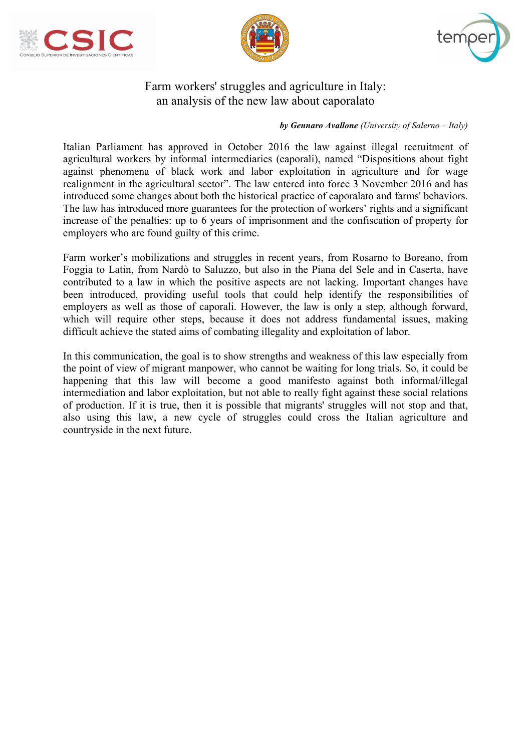





## Farm workers' struggles and agriculture in Italy: an analysis of the new law about caporalato

#### *by Gennaro Avallone (University of Salerno – Italy)*

Italian Parliament has approved in October 2016 the law against illegal recruitment of agricultural workers by informal intermediaries (caporali), named "Dispositions about fight against phenomena of black work and labor exploitation in agriculture and for wage realignment in the agricultural sector". The law entered into force 3 November 2016 and has introduced some changes about both the historical practice of caporalato and farms' behaviors. The law has introduced more guarantees for the protection of workers' rights and a significant increase of the penalties: up to 6 years of imprisonment and the confiscation of property for employers who are found guilty of this crime.

Farm worker's mobilizations and struggles in recent years, from Rosarno to Boreano, from Foggia to Latin, from Nardò to Saluzzo, but also in the Piana del Sele and in Caserta, have contributed to a law in which the positive aspects are not lacking. Important changes have been introduced, providing useful tools that could help identify the responsibilities of employers as well as those of caporali. However, the law is only a step, although forward, which will require other steps, because it does not address fundamental issues, making difficult achieve the stated aims of combating illegality and exploitation of labor.

In this communication, the goal is to show strengths and weakness of this law especially from the point of view of migrant manpower, who cannot be waiting for long trials. So, it could be happening that this law will become a good manifesto against both informal/illegal intermediation and labor exploitation, but not able to really fight against these social relations of production. If it is true, then it is possible that migrants' struggles will not stop and that, also using this law, a new cycle of struggles could cross the Italian agriculture and countryside in the next future.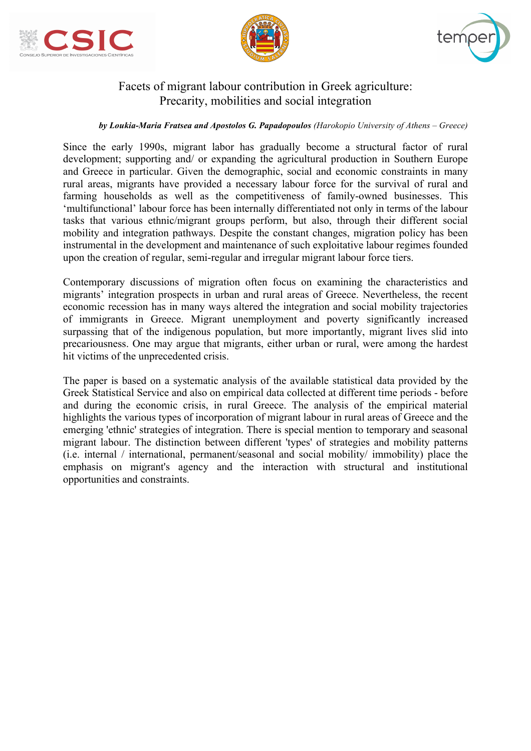





## Facets of migrant labour contribution in Greek agriculture: Precarity, mobilities and social integration

#### *by Loukia-Maria Fratsea and Apostolos G. Papadopoulos (Harokopio University of Athens – Greece)*

Since the early 1990s, migrant labor has gradually become a structural factor of rural development; supporting and/ or expanding the agricultural production in Southern Europe and Greece in particular. Given the demographic, social and economic constraints in many rural areas, migrants have provided a necessary labour force for the survival of rural and farming households as well as the competitiveness of family-owned businesses. This 'multifunctional' labour force has been internally differentiated not only in terms of the labour tasks that various ethnic/migrant groups perform, but also, through their different social mobility and integration pathways. Despite the constant changes, migration policy has been instrumental in the development and maintenance of such exploitative labour regimes founded upon the creation of regular, semi-regular and irregular migrant labour force tiers.

Contemporary discussions of migration often focus on examining the characteristics and migrants' integration prospects in urban and rural areas of Greece. Nevertheless, the recent economic recession has in many ways altered the integration and social mobility trajectories of immigrants in Greece. Migrant unemployment and poverty significantly increased surpassing that of the indigenous population, but more importantly, migrant lives slid into precariousness. One may argue that migrants, either urban or rural, were among the hardest hit victims of the unprecedented crisis.

The paper is based on a systematic analysis of the available statistical data provided by the Greek Statistical Service and also on empirical data collected at different time periods - before and during the economic crisis, in rural Greece. The analysis of the empirical material highlights the various types of incorporation of migrant labour in rural areas of Greece and the emerging 'ethnic' strategies of integration. There is special mention to temporary and seasonal migrant labour. The distinction between different 'types' of strategies and mobility patterns (i.e. internal / international, permanent/seasonal and social mobility/ immobility) place the emphasis on migrant's agency and the interaction with structural and institutional opportunities and constraints.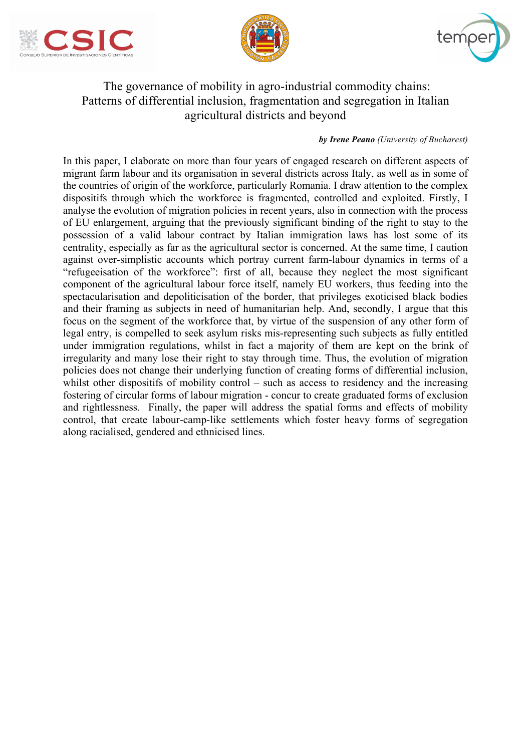





# The governance of mobility in agro-industrial commodity chains: Patterns of differential inclusion, fragmentation and segregation in Italian agricultural districts and beyond

#### *by Irene Peano (University of Bucharest)*

In this paper, I elaborate on more than four years of engaged research on different aspects of migrant farm labour and its organisation in several districts across Italy, as well as in some of the countries of origin of the workforce, particularly Romania. I draw attention to the complex dispositifs through which the workforce is fragmented, controlled and exploited. Firstly, I analyse the evolution of migration policies in recent years, also in connection with the process of EU enlargement, arguing that the previously significant binding of the right to stay to the possession of a valid labour contract by Italian immigration laws has lost some of its centrality, especially as far as the agricultural sector is concerned. At the same time, I caution against over-simplistic accounts which portray current farm-labour dynamics in terms of a "refugeeisation of the workforce": first of all, because they neglect the most significant component of the agricultural labour force itself, namely EU workers, thus feeding into the spectacularisation and depoliticisation of the border, that privileges exoticised black bodies and their framing as subjects in need of humanitarian help. And, secondly, I argue that this focus on the segment of the workforce that, by virtue of the suspension of any other form of legal entry, is compelled to seek asylum risks mis-representing such subjects as fully entitled under immigration regulations, whilst in fact a majority of them are kept on the brink of irregularity and many lose their right to stay through time. Thus, the evolution of migration policies does not change their underlying function of creating forms of differential inclusion, whilst other dispositifs of mobility control – such as access to residency and the increasing fostering of circular forms of labour migration - concur to create graduated forms of exclusion and rightlessness. Finally, the paper will address the spatial forms and effects of mobility control, that create labour-camp-like settlements which foster heavy forms of segregation along racialised, gendered and ethnicised lines.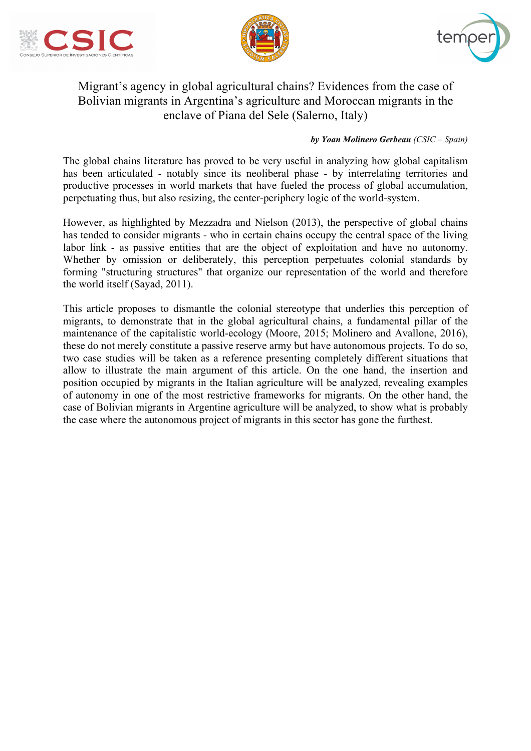





# Migrant's agency in global agricultural chains? Evidences from the case of Bolivian migrants in Argentina's agriculture and Moroccan migrants in the enclave of Piana del Sele (Salerno, Italy)

#### *by Yoan Molinero Gerbeau (CSIC – Spain)*

The global chains literature has proved to be very useful in analyzing how global capitalism has been articulated - notably since its neoliberal phase - by interrelating territories and productive processes in world markets that have fueled the process of global accumulation, perpetuating thus, but also resizing, the center-periphery logic of the world-system.

However, as highlighted by Mezzadra and Nielson (2013), the perspective of global chains has tended to consider migrants - who in certain chains occupy the central space of the living labor link - as passive entities that are the object of exploitation and have no autonomy. Whether by omission or deliberately, this perception perpetuates colonial standards by forming "structuring structures" that organize our representation of the world and therefore the world itself (Sayad, 2011).

This article proposes to dismantle the colonial stereotype that underlies this perception of migrants, to demonstrate that in the global agricultural chains, a fundamental pillar of the maintenance of the capitalistic world-ecology (Moore, 2015; Molinero and Avallone, 2016), these do not merely constitute a passive reserve army but have autonomous projects. To do so, two case studies will be taken as a reference presenting completely different situations that allow to illustrate the main argument of this article. On the one hand, the insertion and position occupied by migrants in the Italian agriculture will be analyzed, revealing examples of autonomy in one of the most restrictive frameworks for migrants. On the other hand, the case of Bolivian migrants in Argentine agriculture will be analyzed, to show what is probably the case where the autonomous project of migrants in this sector has gone the furthest.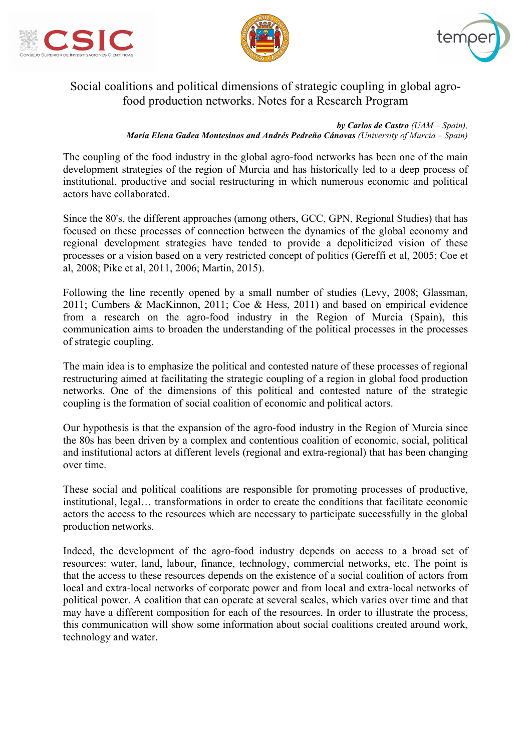





## Social coalitions and political dimensions of strategic coupling in global agrofood production networks. Notes for a Research Program

*by Carlos de Castro (UAM – Spain), María Elena Gadea Montesinos and Andrés Pedreño Cánovas (University of Murcia – Spain)*

The coupling of the food industry in the global agro-food networks has been one of the main development strategies of the region of Murcia and has historically led to a deep process of institutional, productive and social restructuring in which numerous economic and political actors have collaborated.

Since the 80's, the different approaches (among others, GCC, GPN, Regional Studies) that has focused on these processes of connection between the dynamics of the global economy and regional development strategies have tended to provide a depoliticized vision of these processes or a vision based on a very restricted concept of politics (Gereffi et al, 2005; Coe et al, 2008; Pike et al, 2011, 2006; Martin, 2015).

Following the line recently opened by a small number of studies (Levy, 2008; Glassman, 2011; Cumbers & MacKinnon, 2011; Coe & Hess, 2011) and based on empirical evidence from a research on the agro-food industry in the Region of Murcia (Spain), this communication aims to broaden the understanding of the political processes in the processes of strategic coupling.

The main idea is to emphasize the political and contested nature of these processes of regional restructuring aimed at facilitating the strategic coupling of a region in global food production networks. One of the dimensions of this political and contested nature of the strategic coupling is the formation of social coalition of economic and political actors.

Our hypothesis is that the expansion of the agro-food industry in the Region of Murcia since the 80s has been driven by a complex and contentious coalition of economic, social, political and institutional actors at different levels (regional and extra-regional) that has been changing over time.

These social and political coalitions are responsible for promoting processes of productive, institutional, legal… transformations in order to create the conditions that facilitate economic actors the access to the resources which are necessary to participate successfully in the global production networks.

Indeed, the development of the agro-food industry depends on access to a broad set of resources: water, land, labour, finance, technology, commercial networks, etc. The point is that the access to these resources depends on the existence of a social coalition of actors from local and extra-local networks of corporate power and from local and extra-local networks of political power. A coalition that can operate at several scales, which varies over time and that may have a different composition for each of the resources. In order to illustrate the process, this communication will show some information about social coalitions created around work, technology and water.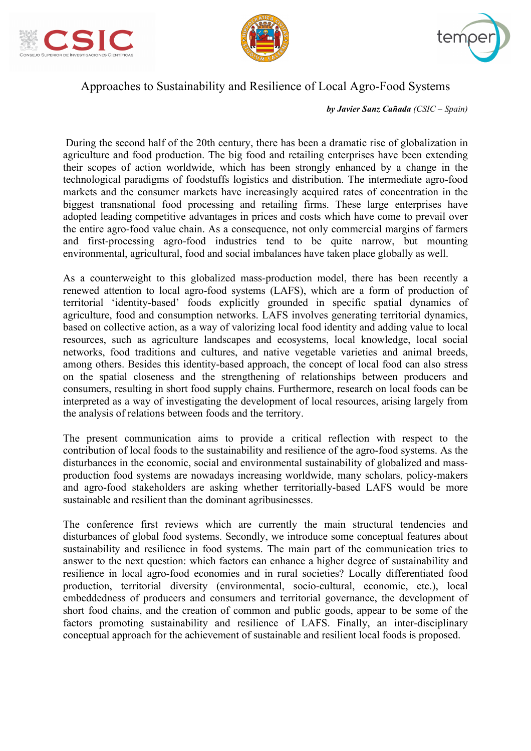





## Approaches to Sustainability and Resilience of Local Agro-Food Systems

*by Javier Sanz Cañada (CSIC – Spain)*

During the second half of the 20th century, there has been a dramatic rise of globalization in agriculture and food production. The big food and retailing enterprises have been extending their scopes of action worldwide, which has been strongly enhanced by a change in the technological paradigms of foodstuffs logistics and distribution. The intermediate agro-food markets and the consumer markets have increasingly acquired rates of concentration in the biggest transnational food processing and retailing firms. These large enterprises have adopted leading competitive advantages in prices and costs which have come to prevail over the entire agro-food value chain. As a consequence, not only commercial margins of farmers and first-processing agro-food industries tend to be quite narrow, but mounting environmental, agricultural, food and social imbalances have taken place globally as well.

As a counterweight to this globalized mass-production model, there has been recently a renewed attention to local agro-food systems (LAFS), which are a form of production of territorial 'identity-based' foods explicitly grounded in specific spatial dynamics of agriculture, food and consumption networks. LAFS involves generating territorial dynamics, based on collective action, as a way of valorizing local food identity and adding value to local resources, such as agriculture landscapes and ecosystems, local knowledge, local social networks, food traditions and cultures, and native vegetable varieties and animal breeds, among others. Besides this identity-based approach, the concept of local food can also stress on the spatial closeness and the strengthening of relationships between producers and consumers, resulting in short food supply chains. Furthermore, research on local foods can be interpreted as a way of investigating the development of local resources, arising largely from the analysis of relations between foods and the territory.

The present communication aims to provide a critical reflection with respect to the contribution of local foods to the sustainability and resilience of the agro-food systems. As the disturbances in the economic, social and environmental sustainability of globalized and massproduction food systems are nowadays increasing worldwide, many scholars, policy-makers and agro-food stakeholders are asking whether territorially-based LAFS would be more sustainable and resilient than the dominant agribusinesses.

The conference first reviews which are currently the main structural tendencies and disturbances of global food systems. Secondly, we introduce some conceptual features about sustainability and resilience in food systems. The main part of the communication tries to answer to the next question: which factors can enhance a higher degree of sustainability and resilience in local agro-food economies and in rural societies? Locally differentiated food production, territorial diversity (environmental, socio-cultural, economic, etc.), local embeddedness of producers and consumers and territorial governance, the development of short food chains, and the creation of common and public goods, appear to be some of the factors promoting sustainability and resilience of LAFS. Finally, an inter-disciplinary conceptual approach for the achievement of sustainable and resilient local foods is proposed.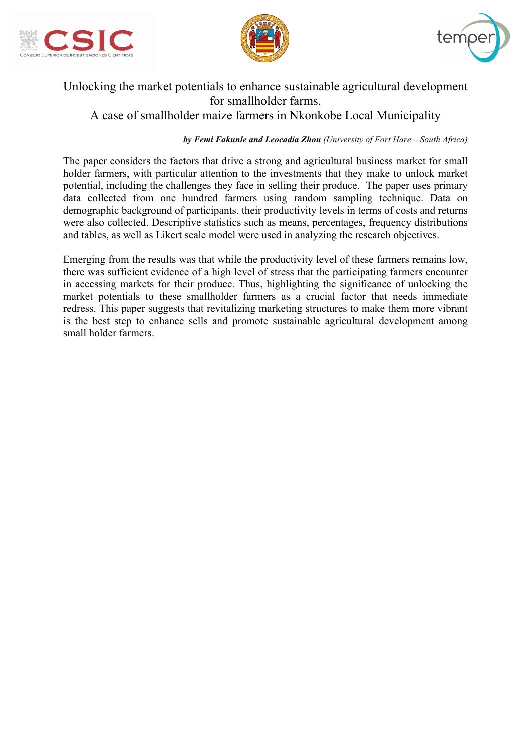





# Unlocking the market potentials to enhance sustainable agricultural development for smallholder farms. A case of smallholder maize farmers in Nkonkobe Local Municipality

#### *by Femi Fakunle and Leocadia Zhou (University of Fort Hare – South Africa)*

The paper considers the factors that drive a strong and agricultural business market for small holder farmers, with particular attention to the investments that they make to unlock market potential, including the challenges they face in selling their produce. The paper uses primary data collected from one hundred farmers using random sampling technique. Data on demographic background of participants, their productivity levels in terms of costs and returns were also collected. Descriptive statistics such as means, percentages, frequency distributions and tables, as well as Likert scale model were used in analyzing the research objectives.

Emerging from the results was that while the productivity level of these farmers remains low, there was sufficient evidence of a high level of stress that the participating farmers encounter in accessing markets for their produce. Thus, highlighting the significance of unlocking the market potentials to these smallholder farmers as a crucial factor that needs immediate redress. This paper suggests that revitalizing marketing structures to make them more vibrant is the best step to enhance sells and promote sustainable agricultural development among small holder farmers.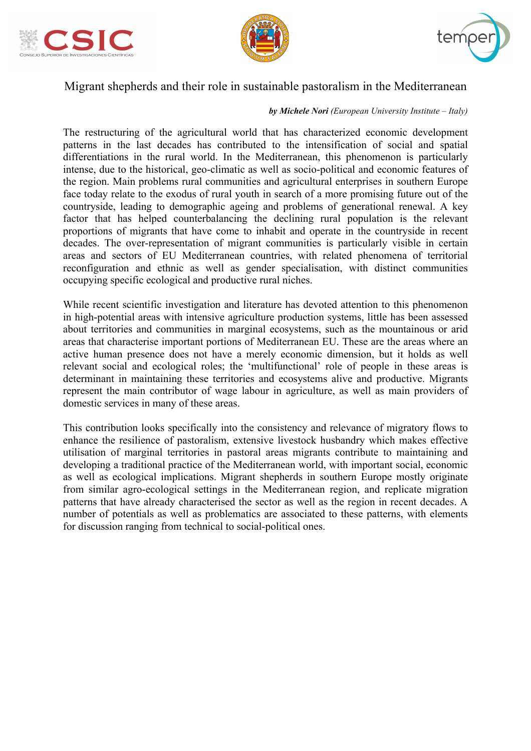





## Migrant shepherds and their role in sustainable pastoralism in the Mediterranean

#### *by Michele Nori (European University Institute – Italy)*

The restructuring of the agricultural world that has characterized economic development patterns in the last decades has contributed to the intensification of social and spatial differentiations in the rural world. In the Mediterranean, this phenomenon is particularly intense, due to the historical, geo-climatic as well as socio-political and economic features of the region. Main problems rural communities and agricultural enterprises in southern Europe face today relate to the exodus of rural youth in search of a more promising future out of the countryside, leading to demographic ageing and problems of generational renewal. A key factor that has helped counterbalancing the declining rural population is the relevant proportions of migrants that have come to inhabit and operate in the countryside in recent decades. The over-representation of migrant communities is particularly visible in certain areas and sectors of EU Mediterranean countries, with related phenomena of territorial reconfiguration and ethnic as well as gender specialisation, with distinct communities occupying specific ecological and productive rural niches.

While recent scientific investigation and literature has devoted attention to this phenomenon in high-potential areas with intensive agriculture production systems, little has been assessed about territories and communities in marginal ecosystems, such as the mountainous or arid areas that characterise important portions of Mediterranean EU. These are the areas where an active human presence does not have a merely economic dimension, but it holds as well relevant social and ecological roles; the 'multifunctional' role of people in these areas is determinant in maintaining these territories and ecosystems alive and productive. Migrants represent the main contributor of wage labour in agriculture, as well as main providers of domestic services in many of these areas.

This contribution looks specifically into the consistency and relevance of migratory flows to enhance the resilience of pastoralism, extensive livestock husbandry which makes effective utilisation of marginal territories in pastoral areas migrants contribute to maintaining and developing a traditional practice of the Mediterranean world, with important social, economic as well as ecological implications. Migrant shepherds in southern Europe mostly originate from similar agro-ecological settings in the Mediterranean region, and replicate migration patterns that have already characterised the sector as well as the region in recent decades. A number of potentials as well as problematics are associated to these patterns, with elements for discussion ranging from technical to social-political ones.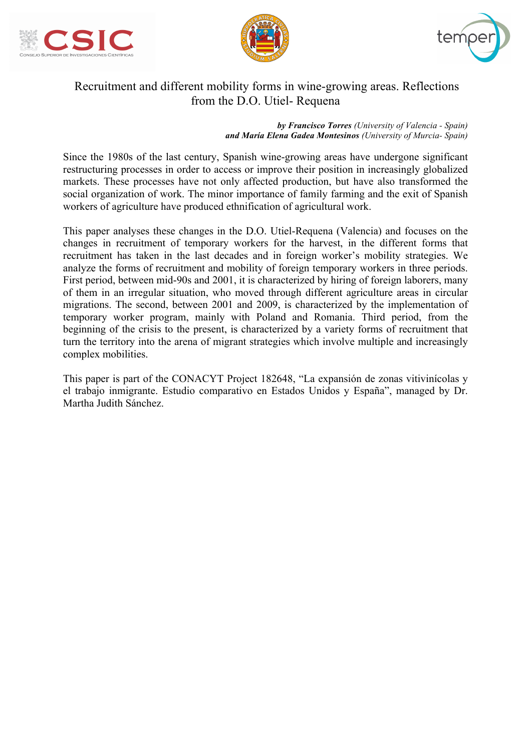





# Recruitment and different mobility forms in wine-growing areas. Reflections from the D.O. Utiel- Requena

*by Francisco Torres (University of Valencia - Spain) and María Elena Gadea Montesinos (University of Murcia- Spain)*

Since the 1980s of the last century, Spanish wine-growing areas have undergone significant restructuring processes in order to access or improve their position in increasingly globalized markets. These processes have not only affected production, but have also transformed the social organization of work. The minor importance of family farming and the exit of Spanish workers of agriculture have produced ethnification of agricultural work.

This paper analyses these changes in the D.O. Utiel-Requena (Valencia) and focuses on the changes in recruitment of temporary workers for the harvest, in the different forms that recruitment has taken in the last decades and in foreign worker's mobility strategies. We analyze the forms of recruitment and mobility of foreign temporary workers in three periods. First period, between mid-90s and 2001, it is characterized by hiring of foreign laborers, many of them in an irregular situation, who moved through different agriculture areas in circular migrations. The second, between 2001 and 2009, is characterized by the implementation of temporary worker program, mainly with Poland and Romania. Third period, from the beginning of the crisis to the present, is characterized by a variety forms of recruitment that turn the territory into the arena of migrant strategies which involve multiple and increasingly complex mobilities.

This paper is part of the CONACYT Project 182648, "La expansión de zonas vitivinícolas y el trabajo inmigrante. Estudio comparativo en Estados Unidos y España", managed by Dr. Martha Judith Sánchez.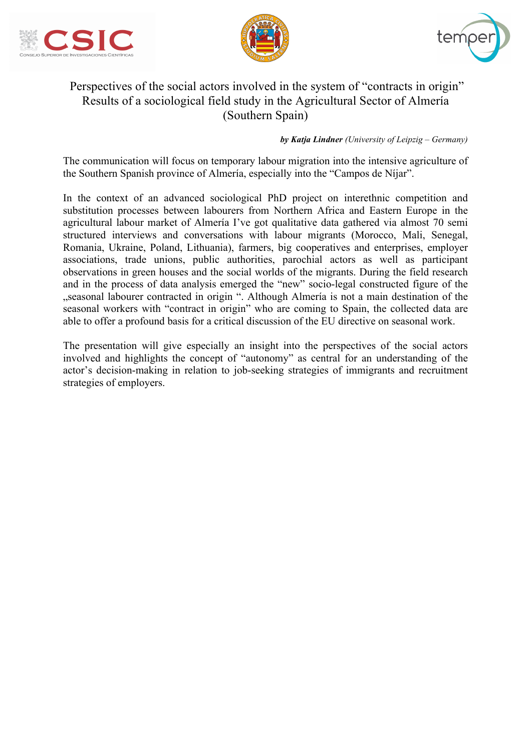





# Perspectives of the social actors involved in the system of "contracts in origin" Results of a sociological field study in the Agricultural Sector of Almería (Southern Spain)

#### *by Katja Lindner (University of Leipzig – Germany)*

The communication will focus on temporary labour migration into the intensive agriculture of the Southern Spanish province of Almería, especially into the "Campos de Níjar".

In the context of an advanced sociological PhD project on interethnic competition and substitution processes between labourers from Northern Africa and Eastern Europe in the agricultural labour market of Almería I've got qualitative data gathered via almost 70 semi structured interviews and conversations with labour migrants (Morocco, Mali, Senegal, Romania, Ukraine, Poland, Lithuania), farmers, big cooperatives and enterprises, employer associations, trade unions, public authorities, parochial actors as well as participant observations in green houses and the social worlds of the migrants. During the field research and in the process of data analysis emerged the "new" socio-legal constructed figure of the "seasonal labourer contracted in origin ". Although Almería is not a main destination of the seasonal workers with "contract in origin" who are coming to Spain, the collected data are able to offer a profound basis for a critical discussion of the EU directive on seasonal work.

The presentation will give especially an insight into the perspectives of the social actors involved and highlights the concept of "autonomy" as central for an understanding of the actor's decision-making in relation to job-seeking strategies of immigrants and recruitment strategies of employers.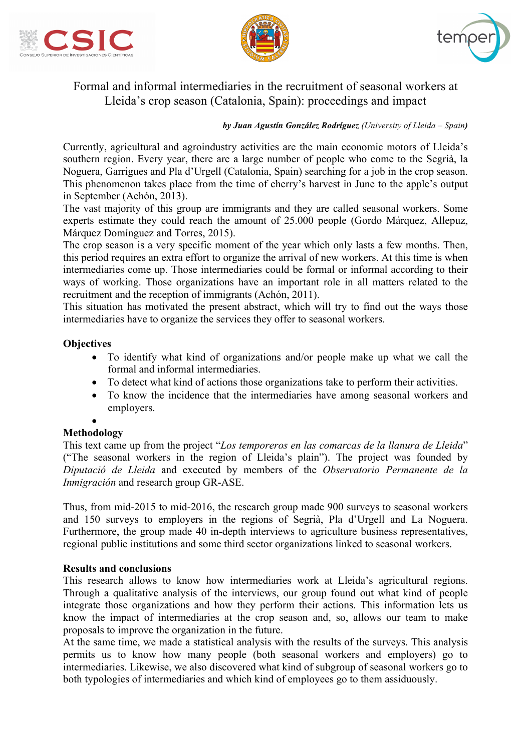





## Formal and informal intermediaries in the recruitment of seasonal workers at Lleida's crop season (Catalonia, Spain): proceedings and impact

*by Juan Agustín González Rodríguez (University of Lleida – Spain)*

Currently, agricultural and agroindustry activities are the main economic motors of Lleida's southern region. Every year, there are a large number of people who come to the Segrià, la Noguera, Garrigues and Pla d'Urgell (Catalonia, Spain) searching for a job in the crop season. This phenomenon takes place from the time of cherry's harvest in June to the apple's output in September (Achón, 2013).

The vast majority of this group are immigrants and they are called seasonal workers. Some experts estimate they could reach the amount of 25.000 people (Gordo Márquez, Allepuz, Márquez Domínguez and Torres, 2015).

The crop season is a very specific moment of the year which only lasts a few months. Then, this period requires an extra effort to organize the arrival of new workers. At this time is when intermediaries come up. Those intermediaries could be formal or informal according to their ways of working. Those organizations have an important role in all matters related to the recruitment and the reception of immigrants (Achón, 2011).

This situation has motivated the present abstract, which will try to find out the ways those intermediaries have to organize the services they offer to seasonal workers.

#### **Objectives**

- To identify what kind of organizations and/or people make up what we call the formal and informal intermediaries.
- To detect what kind of actions those organizations take to perform their activities.
- To know the incidence that the intermediaries have among seasonal workers and employers.

#### • **Methodology**

This text came up from the project "*Los temporeros en las comarcas de la llanura de Lleida*" ("The seasonal workers in the region of Lleida's plain"). The project was founded by *Diputació de Lleida* and executed by members of the *Observatorio Permanente de la Inmigración* and research group GR-ASE.

Thus, from mid-2015 to mid-2016, the research group made 900 surveys to seasonal workers and 150 surveys to employers in the regions of Segrià, Pla d'Urgell and La Noguera. Furthermore, the group made 40 in-depth interviews to agriculture business representatives, regional public institutions and some third sector organizations linked to seasonal workers.

#### **Results and conclusions**

This research allows to know how intermediaries work at Lleida's agricultural regions. Through a qualitative analysis of the interviews, our group found out what kind of people integrate those organizations and how they perform their actions. This information lets us know the impact of intermediaries at the crop season and, so, allows our team to make proposals to improve the organization in the future.

At the same time, we made a statistical analysis with the results of the surveys. This analysis permits us to know how many people (both seasonal workers and employers) go to intermediaries. Likewise, we also discovered what kind of subgroup of seasonal workers go to both typologies of intermediaries and which kind of employees go to them assiduously.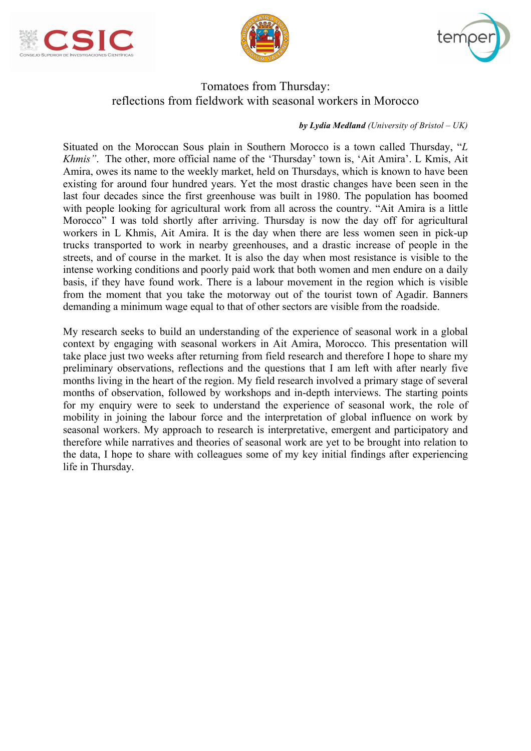





## Tomatoes from Thursday: reflections from fieldwork with seasonal workers in Morocco

#### *by Lydia Medland (University of Bristol – UK)*

Situated on the Moroccan Sous plain in Southern Morocco is a town called Thursday, "*L Khmis"*. The other, more official name of the 'Thursday' town is, 'Ait Amira'. L Kmis, Ait Amira, owes its name to the weekly market, held on Thursdays, which is known to have been existing for around four hundred years. Yet the most drastic changes have been seen in the last four decades since the first greenhouse was built in 1980. The population has boomed with people looking for agricultural work from all across the country. "Ait Amira is a little Morocco" I was told shortly after arriving. Thursday is now the day off for agricultural workers in L Khmis, Ait Amira. It is the day when there are less women seen in pick-up trucks transported to work in nearby greenhouses, and a drastic increase of people in the streets, and of course in the market. It is also the day when most resistance is visible to the intense working conditions and poorly paid work that both women and men endure on a daily basis, if they have found work. There is a labour movement in the region which is visible from the moment that you take the motorway out of the tourist town of Agadir. Banners demanding a minimum wage equal to that of other sectors are visible from the roadside.

My research seeks to build an understanding of the experience of seasonal work in a global context by engaging with seasonal workers in Ait Amira, Morocco. This presentation will take place just two weeks after returning from field research and therefore I hope to share my preliminary observations, reflections and the questions that I am left with after nearly five months living in the heart of the region. My field research involved a primary stage of several months of observation, followed by workshops and in-depth interviews. The starting points for my enquiry were to seek to understand the experience of seasonal work, the role of mobility in joining the labour force and the interpretation of global influence on work by seasonal workers. My approach to research is interpretative, emergent and participatory and therefore while narratives and theories of seasonal work are yet to be brought into relation to the data, I hope to share with colleagues some of my key initial findings after experiencing life in Thursday.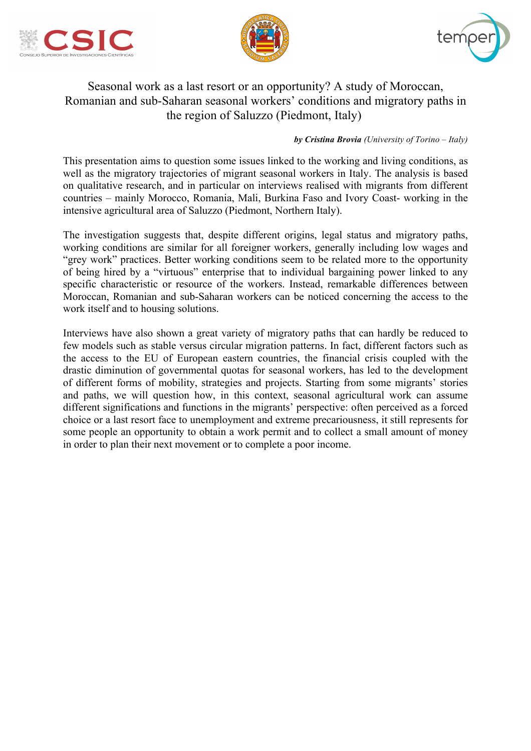





# Seasonal work as a last resort or an opportunity? A study of Moroccan, Romanian and sub-Saharan seasonal workers' conditions and migratory paths in the region of Saluzzo (Piedmont, Italy)

#### *by Cristina Brovia (University of Torino – Italy)*

This presentation aims to question some issues linked to the working and living conditions, as well as the migratory trajectories of migrant seasonal workers in Italy. The analysis is based on qualitative research, and in particular on interviews realised with migrants from different countries – mainly Morocco, Romania, Mali, Burkina Faso and Ivory Coast- working in the intensive agricultural area of Saluzzo (Piedmont, Northern Italy).

The investigation suggests that, despite different origins, legal status and migratory paths, working conditions are similar for all foreigner workers, generally including low wages and "grey work" practices. Better working conditions seem to be related more to the opportunity of being hired by a "virtuous" enterprise that to individual bargaining power linked to any specific characteristic or resource of the workers. Instead, remarkable differences between Moroccan, Romanian and sub-Saharan workers can be noticed concerning the access to the work itself and to housing solutions.

Interviews have also shown a great variety of migratory paths that can hardly be reduced to few models such as stable versus circular migration patterns. In fact, different factors such as the access to the EU of European eastern countries, the financial crisis coupled with the drastic diminution of governmental quotas for seasonal workers, has led to the development of different forms of mobility, strategies and projects. Starting from some migrants' stories and paths, we will question how, in this context, seasonal agricultural work can assume different significations and functions in the migrants' perspective: often perceived as a forced choice or a last resort face to unemployment and extreme precariousness, it still represents for some people an opportunity to obtain a work permit and to collect a small amount of money in order to plan their next movement or to complete a poor income.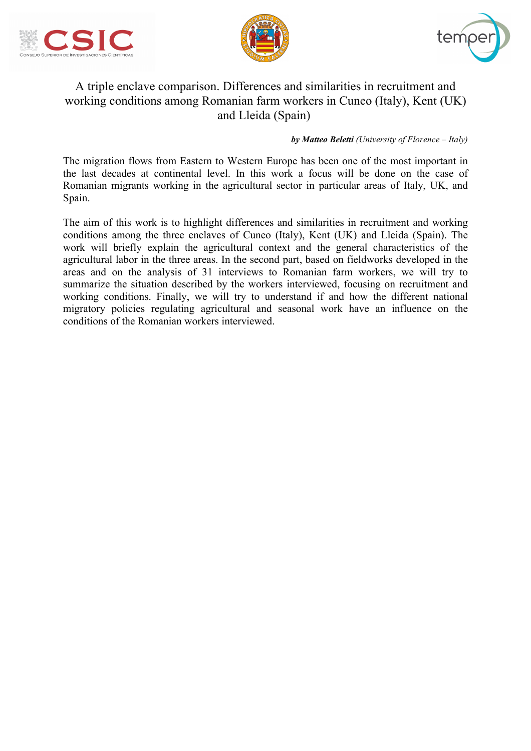





# A triple enclave comparison. Differences and similarities in recruitment and working conditions among Romanian farm workers in Cuneo (Italy), Kent (UK) and Lleida (Spain)

#### *by Matteo Beletti (University of Florence – Italy)*

The migration flows from Eastern to Western Europe has been one of the most important in the last decades at continental level. In this work a focus will be done on the case of Romanian migrants working in the agricultural sector in particular areas of Italy, UK, and Spain.

The aim of this work is to highlight differences and similarities in recruitment and working conditions among the three enclaves of Cuneo (Italy), Kent (UK) and Lleida (Spain). The work will briefly explain the agricultural context and the general characteristics of the agricultural labor in the three areas. In the second part, based on fieldworks developed in the areas and on the analysis of 31 interviews to Romanian farm workers, we will try to summarize the situation described by the workers interviewed, focusing on recruitment and working conditions. Finally, we will try to understand if and how the different national migratory policies regulating agricultural and seasonal work have an influence on the conditions of the Romanian workers interviewed.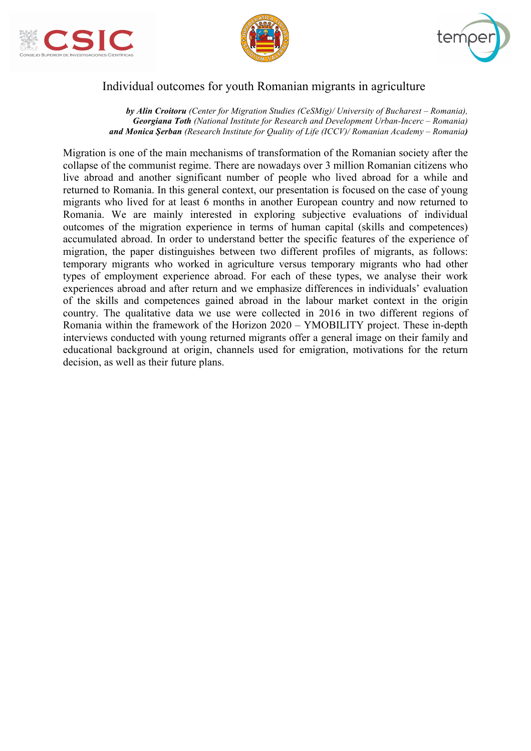





## Individual outcomes for youth Romanian migrants in agriculture

*by Alin Croitoru (Center for Migration Studies (CeSMig)/ University of Bucharest – Romania), Georgiana Toth (National Institute for Research and Development Urban-Incerc – Romania) and Monica Şerban (Research Institute for Quality of Life (ICCV)/ Romanian Academy – Romania)*

Migration is one of the main mechanisms of transformation of the Romanian society after the collapse of the communist regime. There are nowadays over 3 million Romanian citizens who live abroad and another significant number of people who lived abroad for a while and returned to Romania. In this general context, our presentation is focused on the case of young migrants who lived for at least 6 months in another European country and now returned to Romania. We are mainly interested in exploring subjective evaluations of individual outcomes of the migration experience in terms of human capital (skills and competences) accumulated abroad. In order to understand better the specific features of the experience of migration, the paper distinguishes between two different profiles of migrants, as follows: temporary migrants who worked in agriculture versus temporary migrants who had other types of employment experience abroad. For each of these types, we analyse their work experiences abroad and after return and we emphasize differences in individuals' evaluation of the skills and competences gained abroad in the labour market context in the origin country. The qualitative data we use were collected in 2016 in two different regions of Romania within the framework of the Horizon 2020 – YMOBILITY project. These in-depth interviews conducted with young returned migrants offer a general image on their family and educational background at origin, channels used for emigration, motivations for the return decision, as well as their future plans.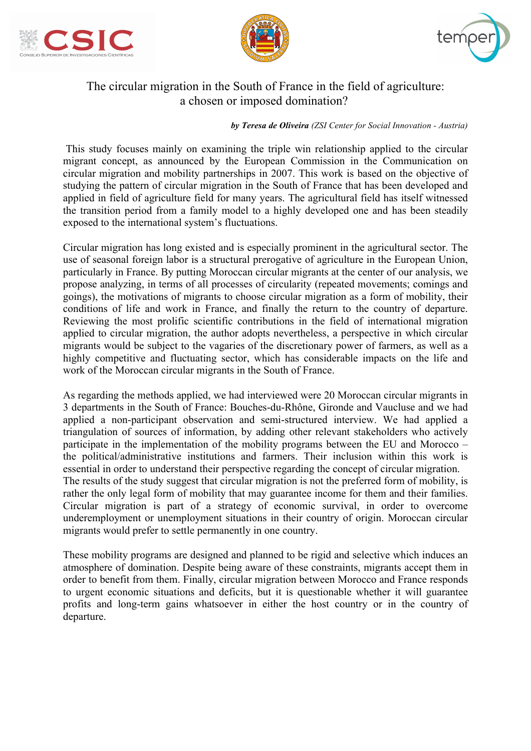





# The circular migration in the South of France in the field of agriculture: a chosen or imposed domination?

*by Teresa de Oliveira (ZSI Center for Social Innovation - Austria)*

This study focuses mainly on examining the triple win relationship applied to the circular migrant concept, as announced by the European Commission in the Communication on circular migration and mobility partnerships in 2007. This work is based on the objective of studying the pattern of circular migration in the South of France that has been developed and applied in field of agriculture field for many years. The agricultural field has itself witnessed the transition period from a family model to a highly developed one and has been steadily exposed to the international system's fluctuations.

Circular migration has long existed and is especially prominent in the agricultural sector. The use of seasonal foreign labor is a structural prerogative of agriculture in the European Union, particularly in France. By putting Moroccan circular migrants at the center of our analysis, we propose analyzing, in terms of all processes of circularity (repeated movements; comings and goings), the motivations of migrants to choose circular migration as a form of mobility, their conditions of life and work in France, and finally the return to the country of departure. Reviewing the most prolific scientific contributions in the field of international migration applied to circular migration, the author adopts nevertheless, a perspective in which circular migrants would be subject to the vagaries of the discretionary power of farmers, as well as a highly competitive and fluctuating sector, which has considerable impacts on the life and work of the Moroccan circular migrants in the South of France.

As regarding the methods applied, we had interviewed were 20 Moroccan circular migrants in 3 departments in the South of France: Bouches-du-Rhône, Gironde and Vaucluse and we had applied a non-participant observation and semi-structured interview. We had applied a triangulation of sources of information, by adding other relevant stakeholders who actively participate in the implementation of the mobility programs between the EU and Morocco – the political/administrative institutions and farmers. Their inclusion within this work is essential in order to understand their perspective regarding the concept of circular migration. The results of the study suggest that circular migration is not the preferred form of mobility, is rather the only legal form of mobility that may guarantee income for them and their families. Circular migration is part of a strategy of economic survival, in order to overcome underemployment or unemployment situations in their country of origin. Moroccan circular migrants would prefer to settle permanently in one country.

These mobility programs are designed and planned to be rigid and selective which induces an atmosphere of domination. Despite being aware of these constraints, migrants accept them in order to benefit from them. Finally, circular migration between Morocco and France responds to urgent economic situations and deficits, but it is questionable whether it will guarantee profits and long-term gains whatsoever in either the host country or in the country of departure.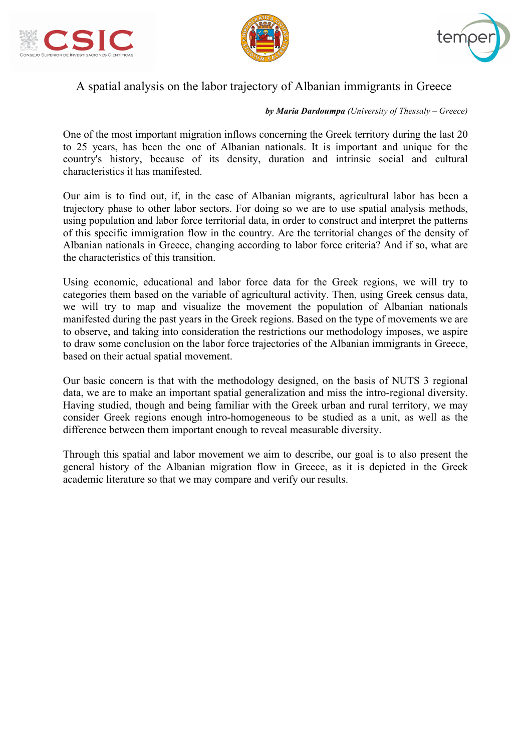





# A spatial analysis on the labor trajectory of Albanian immigrants in Greece

#### *by Maria Dardoumpa (University of Thessaly – Greece)*

One of the most important migration inflows concerning the Greek territory during the last 20 to 25 years, has been the one of Albanian nationals. It is important and unique for the country's history, because of its density, duration and intrinsic social and cultural characteristics it has manifested.

Our aim is to find out, if, in the case of Albanian migrants, agricultural labor has been a trajectory phase to other labor sectors. For doing so we are to use spatial analysis methods, using population and labor force territorial data, in order to construct and interpret the patterns of this specific immigration flow in the country. Are the territorial changes of the density of Albanian nationals in Greece, changing according to labor force criteria? And if so, what are the characteristics of this transition.

Using economic, educational and labor force data for the Greek regions, we will try to categories them based on the variable of agricultural activity. Then, using Greek census data, we will try to map and visualize the movement the population of Albanian nationals manifested during the past years in the Greek regions. Based on the type of movements we are to observe, and taking into consideration the restrictions our methodology imposes, we aspire to draw some conclusion on the labor force trajectories of the Albanian immigrants in Greece, based on their actual spatial movement.

Our basic concern is that with the methodology designed, on the basis of NUTS 3 regional data, we are to make an important spatial generalization and miss the intro-regional diversity. Having studied, though and being familiar with the Greek urban and rural territory, we may consider Greek regions enough intro-homogeneous to be studied as a unit, as well as the difference between them important enough to reveal measurable diversity.

Through this spatial and labor movement we aim to describe, our goal is to also present the general history of the Albanian migration flow in Greece, as it is depicted in the Greek academic literature so that we may compare and verify our results.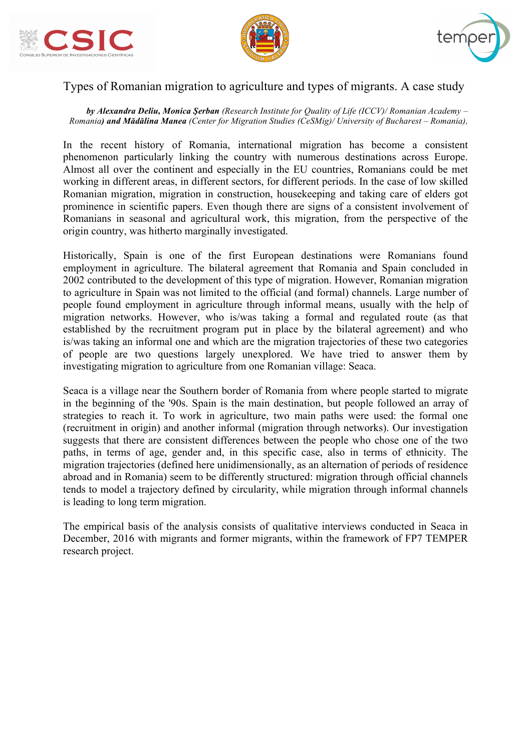





## Types of Romanian migration to agriculture and types of migrants. A case study

*by Alexandra Deliu, Monica Şerban (Research Institute for Quality of Life (ICCV)/ Romanian Academy – Romania) and Mădălina Manea (Center for Migration Studies (CeSMig)/ University of Bucharest – Romania),*

In the recent history of Romania, international migration has become a consistent phenomenon particularly linking the country with numerous destinations across Europe. Almost all over the continent and especially in the EU countries, Romanians could be met working in different areas, in different sectors, for different periods. In the case of low skilled Romanian migration, migration in construction, housekeeping and taking care of elders got prominence in scientific papers. Even though there are signs of a consistent involvement of Romanians in seasonal and agricultural work, this migration, from the perspective of the origin country, was hitherto marginally investigated.

Historically, Spain is one of the first European destinations were Romanians found employment in agriculture. The bilateral agreement that Romania and Spain concluded in 2002 contributed to the development of this type of migration. However, Romanian migration to agriculture in Spain was not limited to the official (and formal) channels. Large number of people found employment in agriculture through informal means, usually with the help of migration networks. However, who is/was taking a formal and regulated route (as that established by the recruitment program put in place by the bilateral agreement) and who is/was taking an informal one and which are the migration trajectories of these two categories of people are two questions largely unexplored. We have tried to answer them by investigating migration to agriculture from one Romanian village: Seaca.

Seaca is a village near the Southern border of Romania from where people started to migrate in the beginning of the '90s. Spain is the main destination, but people followed an array of strategies to reach it. To work in agriculture, two main paths were used: the formal one (recruitment in origin) and another informal (migration through networks). Our investigation suggests that there are consistent differences between the people who chose one of the two paths, in terms of age, gender and, in this specific case, also in terms of ethnicity. The migration trajectories (defined here unidimensionally, as an alternation of periods of residence abroad and in Romania) seem to be differently structured: migration through official channels tends to model a trajectory defined by circularity, while migration through informal channels is leading to long term migration.

The empirical basis of the analysis consists of qualitative interviews conducted in Seaca in December, 2016 with migrants and former migrants, within the framework of FP7 TEMPER research project.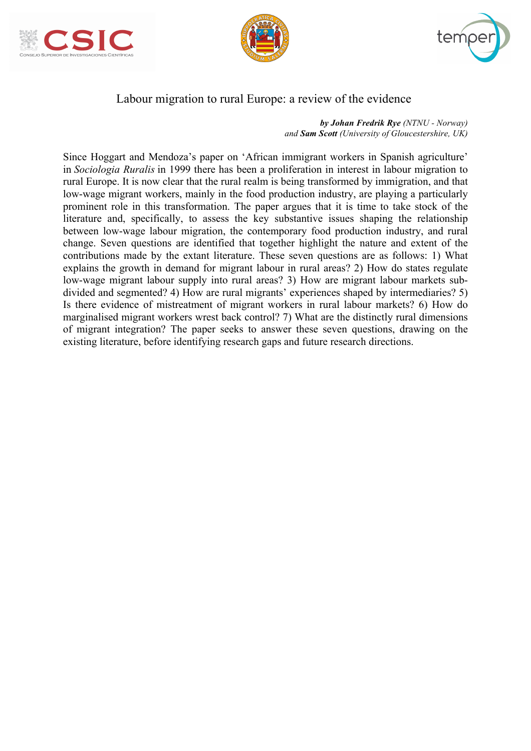





## Labour migration to rural Europe: a review of the evidence

*by Johan Fredrik Rye (NTNU - Norway) and Sam Scott (University of Gloucestershire, UK)*

Since Hoggart and Mendoza's paper on 'African immigrant workers in Spanish agriculture' in *Sociologia Ruralis* in 1999 there has been a proliferation in interest in labour migration to rural Europe. It is now clear that the rural realm is being transformed by immigration, and that low-wage migrant workers, mainly in the food production industry, are playing a particularly prominent role in this transformation. The paper argues that it is time to take stock of the literature and, specifically, to assess the key substantive issues shaping the relationship between low-wage labour migration, the contemporary food production industry, and rural change. Seven questions are identified that together highlight the nature and extent of the contributions made by the extant literature. These seven questions are as follows: 1) What explains the growth in demand for migrant labour in rural areas? 2) How do states regulate low-wage migrant labour supply into rural areas? 3) How are migrant labour markets subdivided and segmented? 4) How are rural migrants' experiences shaped by intermediaries? 5) Is there evidence of mistreatment of migrant workers in rural labour markets? 6) How do marginalised migrant workers wrest back control? 7) What are the distinctly rural dimensions of migrant integration? The paper seeks to answer these seven questions, drawing on the existing literature, before identifying research gaps and future research directions.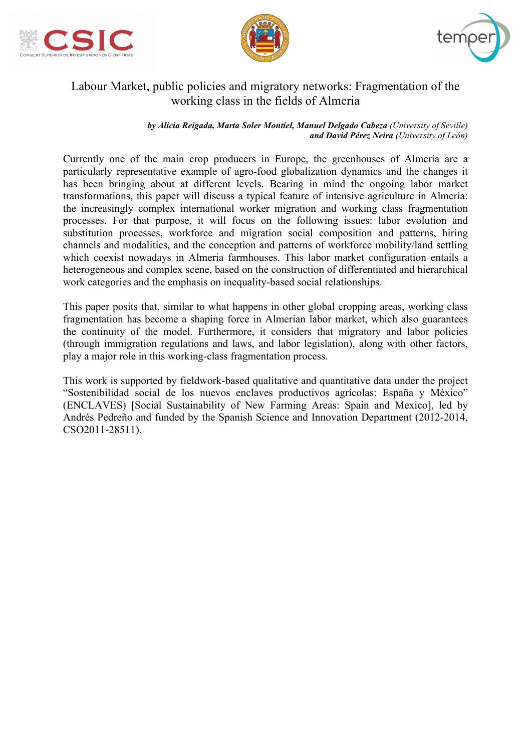





# Labour Market, public policies and migratory networks: Fragmentation of the working class in the fields of Almeria

*by Alicia Reigada, Marta Soler Montiel, Manuel Delgado Cabeza (University of Seville) and David Pérez Neira (University of León)*

Currently one of the main crop producers in Europe, the greenhouses of Almería are a particularly representative example of agro-food globalization dynamics and the changes it has been bringing about at different levels. Bearing in mind the ongoing labor market transformations, this paper will discuss a typical feature of intensive agriculture in Almería: the increasingly complex international worker migration and working class fragmentation processes. For that purpose, it will focus on the following issues: labor evolution and substitution processes, workforce and migration social composition and patterns, hiring channels and modalities, and the conception and patterns of workforce mobility/land settling which coexist nowadays in Almeria farmhouses. This labor market configuration entails a heterogeneous and complex scene, based on the construction of differentiated and hierarchical work categories and the emphasis on inequality-based social relationships.

This paper posits that, similar to what happens in other global cropping areas, working class fragmentation has become a shaping force in Almerian labor market, which also guarantees the continuity of the model. Furthermore, it considers that migratory and labor policies (through immigration regulations and laws, and labor legislation), along with other factors, play a major role in this working-class fragmentation process.

This work is supported by fieldwork-based qualitative and quantitative data under the project "Sostenibilidad social de los nuevos enclaves productivos agrícolas: España y México" (ENCLAVES) [Social Sustainability of New Farming Areas: Spain and Mexico], led by Andrés Pedreño and funded by the Spanish Science and Innovation Department (2012-2014, CSO2011-28511).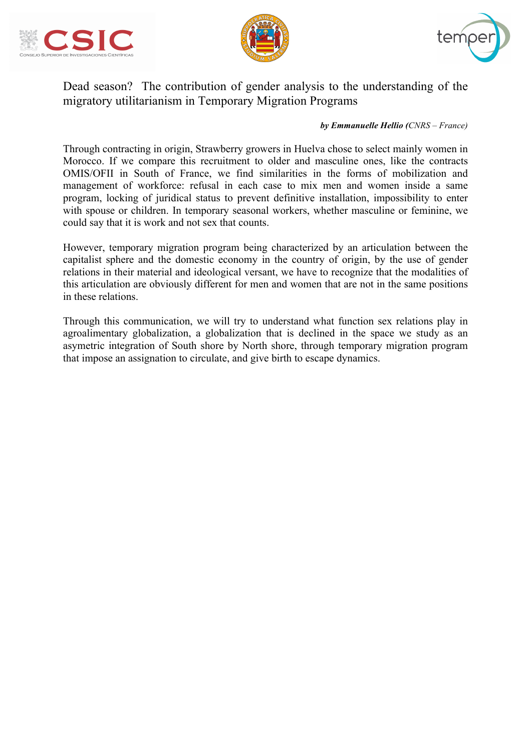





# Dead season? The contribution of gender analysis to the understanding of the migratory utilitarianism in Temporary Migration Programs

#### *by Emmanuelle Hellio (CNRS – France)*

Through contracting in origin, Strawberry growers in Huelva chose to select mainly women in Morocco. If we compare this recruitment to older and masculine ones, like the contracts OMIS/OFII in South of France, we find similarities in the forms of mobilization and management of workforce: refusal in each case to mix men and women inside a same program, locking of juridical status to prevent definitive installation, impossibility to enter with spouse or children. In temporary seasonal workers, whether masculine or feminine, we could say that it is work and not sex that counts.

However, temporary migration program being characterized by an articulation between the capitalist sphere and the domestic economy in the country of origin, by the use of gender relations in their material and ideological versant, we have to recognize that the modalities of this articulation are obviously different for men and women that are not in the same positions in these relations.

Through this communication, we will try to understand what function sex relations play in agroalimentary globalization, a globalization that is declined in the space we study as an asymetric integration of South shore by North shore, through temporary migration program that impose an assignation to circulate, and give birth to escape dynamics.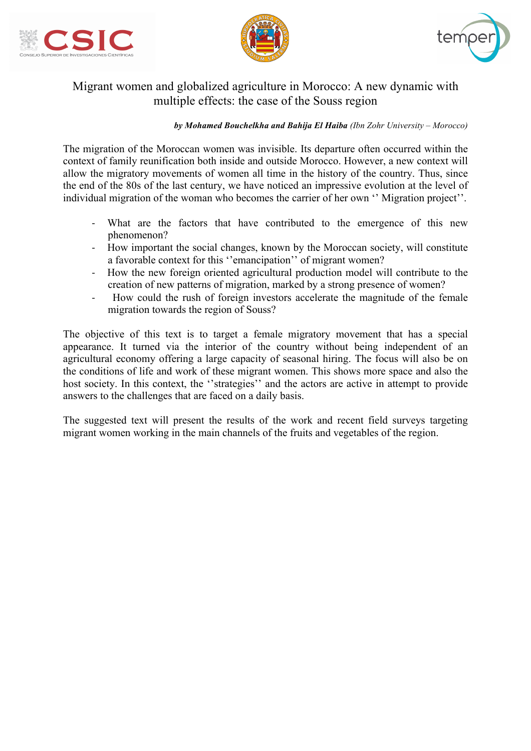





## Migrant women and globalized agriculture in Morocco: A new dynamic with multiple effects: the case of the Souss region

#### *by Mohamed Bouchelkha and Bahija El Haiba (Ibn Zohr University – Morocco)*

The migration of the Moroccan women was invisible. Its departure often occurred within the context of family reunification both inside and outside Morocco. However, a new context will allow the migratory movements of women all time in the history of the country. Thus, since the end of the 80s of the last century, we have noticed an impressive evolution at the level of individual migration of the woman who becomes the carrier of her own '' Migration project''.

- What are the factors that have contributed to the emergence of this new phenomenon?
- How important the social changes, known by the Moroccan society, will constitute a favorable context for this ''emancipation'' of migrant women?
- How the new foreign oriented agricultural production model will contribute to the creation of new patterns of migration, marked by a strong presence of women?
- How could the rush of foreign investors accelerate the magnitude of the female migration towards the region of Souss?

The objective of this text is to target a female migratory movement that has a special appearance. It turned via the interior of the country without being independent of an agricultural economy offering a large capacity of seasonal hiring. The focus will also be on the conditions of life and work of these migrant women. This shows more space and also the host society. In this context, the "strategies" and the actors are active in attempt to provide answers to the challenges that are faced on a daily basis.

The suggested text will present the results of the work and recent field surveys targeting migrant women working in the main channels of the fruits and vegetables of the region.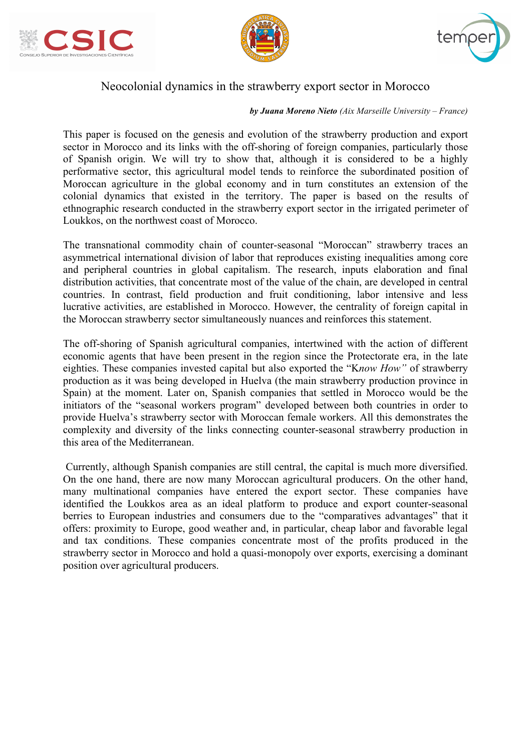





## Neocolonial dynamics in the strawberry export sector in Morocco

#### *by Juana Moreno Nieto (Aix Marseille University – France)*

This paper is focused on the genesis and evolution of the strawberry production and export sector in Morocco and its links with the off-shoring of foreign companies, particularly those of Spanish origin. We will try to show that, although it is considered to be a highly performative sector, this agricultural model tends to reinforce the subordinated position of Moroccan agriculture in the global economy and in turn constitutes an extension of the colonial dynamics that existed in the territory. The paper is based on the results of ethnographic research conducted in the strawberry export sector in the irrigated perimeter of Loukkos, on the northwest coast of Morocco.

The transnational commodity chain of counter-seasonal "Moroccan" strawberry traces an asymmetrical international division of labor that reproduces existing inequalities among core and peripheral countries in global capitalism. The research, inputs elaboration and final distribution activities, that concentrate most of the value of the chain, are developed in central countries. In contrast, field production and fruit conditioning, labor intensive and less lucrative activities, are established in Morocco. However, the centrality of foreign capital in the Moroccan strawberry sector simultaneously nuances and reinforces this statement.

The off-shoring of Spanish agricultural companies, intertwined with the action of different economic agents that have been present in the region since the Protectorate era, in the late eighties. These companies invested capital but also exported the "K*now How"* of strawberry production as it was being developed in Huelva (the main strawberry production province in Spain) at the moment. Later on, Spanish companies that settled in Morocco would be the initiators of the "seasonal workers program" developed between both countries in order to provide Huelva's strawberry sector with Moroccan female workers. All this demonstrates the complexity and diversity of the links connecting counter-seasonal strawberry production in this area of the Mediterranean.

Currently, although Spanish companies are still central, the capital is much more diversified. On the one hand, there are now many Moroccan agricultural producers. On the other hand, many multinational companies have entered the export sector. These companies have identified the Loukkos area as an ideal platform to produce and export counter-seasonal berries to European industries and consumers due to the "comparatives advantages" that it offers: proximity to Europe, good weather and, in particular, cheap labor and favorable legal and tax conditions. These companies concentrate most of the profits produced in the strawberry sector in Morocco and hold a quasi-monopoly over exports, exercising a dominant position over agricultural producers.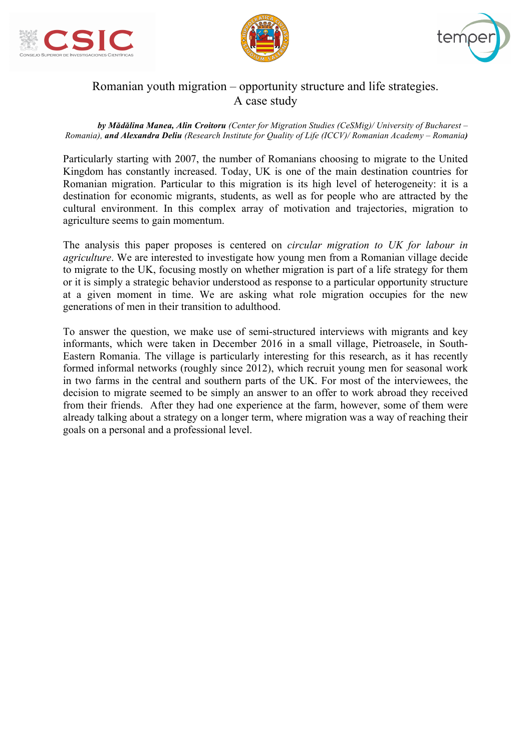





# Romanian youth migration – opportunity structure and life strategies. A case study

#### *by Mădălina Manea, Alin Croitoru (Center for Migration Studies (CeSMig)/ University of Bucharest – Romania), and Alexandra Deliu (Research Institute for Quality of Life (ICCV)/ Romanian Academy – Romania)*

Particularly starting with 2007, the number of Romanians choosing to migrate to the United Kingdom has constantly increased. Today, UK is one of the main destination countries for Romanian migration. Particular to this migration is its high level of heterogeneity: it is a destination for economic migrants, students, as well as for people who are attracted by the cultural environment. In this complex array of motivation and trajectories, migration to agriculture seems to gain momentum.

The analysis this paper proposes is centered on *circular migration to UK for labour in agriculture*. We are interested to investigate how young men from a Romanian village decide to migrate to the UK, focusing mostly on whether migration is part of a life strategy for them or it is simply a strategic behavior understood as response to a particular opportunity structure at a given moment in time. We are asking what role migration occupies for the new generations of men in their transition to adulthood.

To answer the question, we make use of semi-structured interviews with migrants and key informants, which were taken in December 2016 in a small village, Pietroasele, in South-Eastern Romania. The village is particularly interesting for this research, as it has recently formed informal networks (roughly since 2012), which recruit young men for seasonal work in two farms in the central and southern parts of the UK. For most of the interviewees, the decision to migrate seemed to be simply an answer to an offer to work abroad they received from their friends. After they had one experience at the farm, however, some of them were already talking about a strategy on a longer term, where migration was a way of reaching their goals on a personal and a professional level.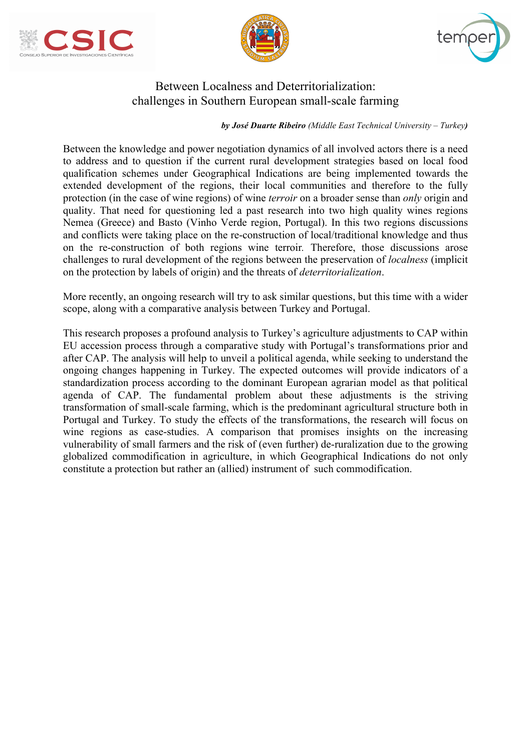





## Between Localness and Deterritorialization: challenges in Southern European small-scale farming

*by José Duarte Ribeiro (Middle East Technical University – Turkey)*

Between the knowledge and power negotiation dynamics of all involved actors there is a need to address and to question if the current rural development strategies based on local food qualification schemes under Geographical Indications are being implemented towards the extended development of the regions, their local communities and therefore to the fully protection (in the case of wine regions) of wine *terroir* on a broader sense than *only* origin and quality. That need for questioning led a past research into two high quality wines regions Nemea (Greece) and Basto (Vinho Verde region, Portugal). In this two regions discussions and conflicts were taking place on the re-construction of local/traditional knowledge and thus on the re-construction of both regions wine terroir*.* Therefore, those discussions arose challenges to rural development of the regions between the preservation of *localness* (implicit on the protection by labels of origin) and the threats of *deterritorialization*.

More recently, an ongoing research will try to ask similar questions, but this time with a wider scope, along with a comparative analysis between Turkey and Portugal.

This research proposes a profound analysis to Turkey's agriculture adjustments to CAP within EU accession process through a comparative study with Portugal's transformations prior and after CAP. The analysis will help to unveil a political agenda, while seeking to understand the ongoing changes happening in Turkey. The expected outcomes will provide indicators of a standardization process according to the dominant European agrarian model as that political agenda of CAP. The fundamental problem about these adjustments is the striving transformation of small-scale farming, which is the predominant agricultural structure both in Portugal and Turkey. To study the effects of the transformations, the research will focus on wine regions as case-studies. A comparison that promises insights on the increasing vulnerability of small farmers and the risk of (even further) de-ruralization due to the growing globalized commodification in agriculture, in which Geographical Indications do not only constitute a protection but rather an (allied) instrument of such commodification.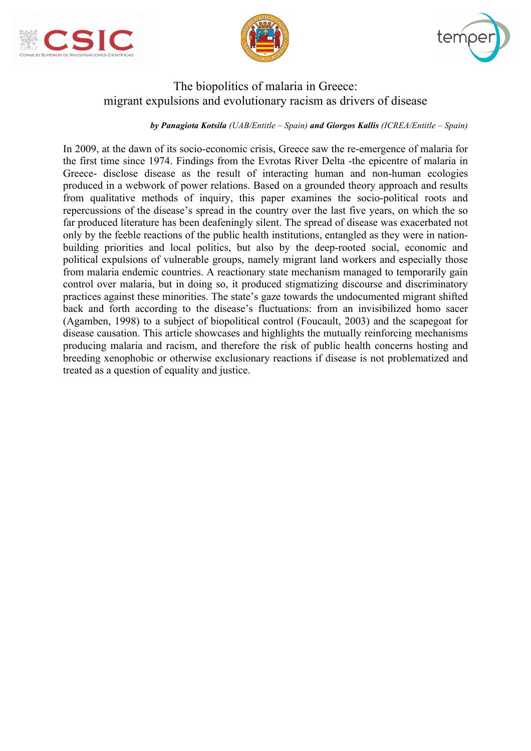





## The biopolitics of malaria in Greece: migrant expulsions and evolutionary racism as drivers of disease

#### *by Panagiota Kotsila (UAB/Entitle – Spain) and Giorgos Kallis (ICREA/Entitle – Spain)*

In 2009, at the dawn of its socio-economic crisis, Greece saw the re-emergence of malaria for the first time since 1974. Findings from the Evrotas River Delta -the epicentre of malaria in Greece- disclose disease as the result of interacting human and non-human ecologies produced in a webwork of power relations. Based on a grounded theory approach and results from qualitative methods of inquiry, this paper examines the socio-political roots and repercussions of the disease's spread in the country over the last five years, on which the so far produced literature has been deafeningly silent. The spread of disease was exacerbated not only by the feeble reactions of the public health institutions, entangled as they were in nationbuilding priorities and local politics, but also by the deep-rooted social, economic and political expulsions of vulnerable groups, namely migrant land workers and especially those from malaria endemic countries. A reactionary state mechanism managed to temporarily gain control over malaria, but in doing so, it produced stigmatizing discourse and discriminatory practices against these minorities. The state's gaze towards the undocumented migrant shifted back and forth according to the disease's fluctuations: from an invisibilized homo sacer (Agamben, 1998) to a subject of biopolitical control (Foucault, 2003) and the scapegoat for disease causation. This article showcases and highlights the mutually reinforcing mechanisms producing malaria and racism, and therefore the risk of public health concerns hosting and breeding xenophobic or otherwise exclusionary reactions if disease is not problematized and treated as a question of equality and justice.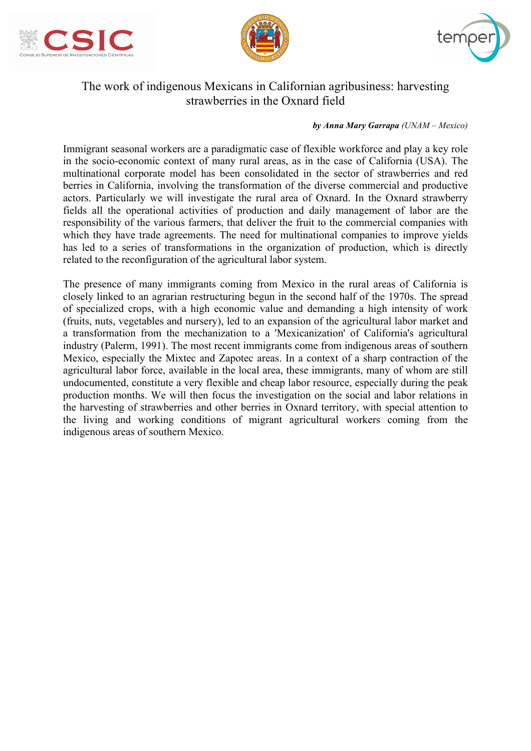





# The work of indigenous Mexicans in Californian agribusiness: harvesting strawberries in the Oxnard field

#### *by Anna Mary Garrapa (UNAM – Mexico)*

Immigrant seasonal workers are a paradigmatic case of flexible workforce and play a key role in the socio-economic context of many rural areas, as in the case of California (USA). The multinational corporate model has been consolidated in the sector of strawberries and red berries in California, involving the transformation of the diverse commercial and productive actors. Particularly we will investigate the rural area of Oxnard. In the Oxnard strawberry fields all the operational activities of production and daily management of labor are the responsibility of the various farmers, that deliver the fruit to the commercial companies with which they have trade agreements. The need for multinational companies to improve yields has led to a series of transformations in the organization of production, which is directly related to the reconfiguration of the agricultural labor system.

The presence of many immigrants coming from Mexico in the rural areas of California is closely linked to an agrarian restructuring begun in the second half of the 1970s. The spread of specialized crops, with a high economic value and demanding a high intensity of work (fruits, nuts, vegetables and nursery), led to an expansion of the agricultural labor market and a transformation from the mechanization to a 'Mexicanization' of California's agricultural industry (Palerm, 1991). The most recent immigrants come from indigenous areas of southern Mexico, especially the Mixtec and Zapotec areas. In a context of a sharp contraction of the agricultural labor force, available in the local area, these immigrants, many of whom are still undocumented, constitute a very flexible and cheap labor resource, especially during the peak production months. We will then focus the investigation on the social and labor relations in the harvesting of strawberries and other berries in Oxnard territory, with special attention to the living and working conditions of migrant agricultural workers coming from the indigenous areas of southern Mexico.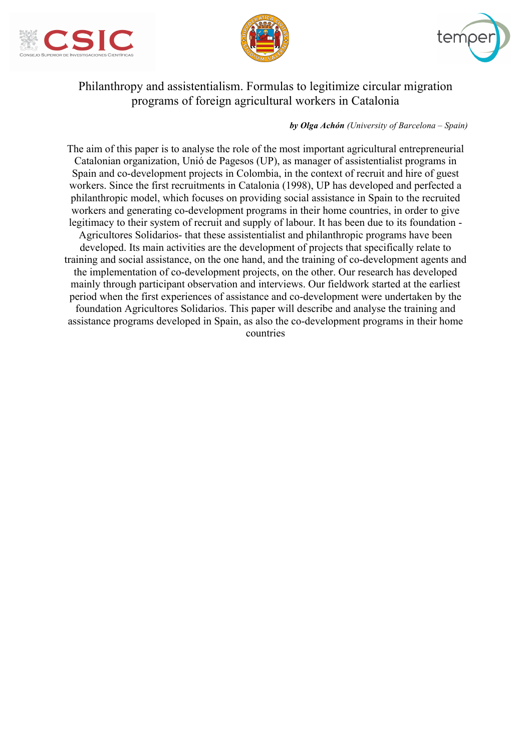





# Philanthropy and assistentialism. Formulas to legitimize circular migration programs of foreign agricultural workers in Catalonia

#### *by Olga Achón (University of Barcelona – Spain)*

The aim of this paper is to analyse the role of the most important agricultural entrepreneurial Catalonian organization, Unió de Pagesos (UP), as manager of assistentialist programs in Spain and co-development projects in Colombia, in the context of recruit and hire of guest workers. Since the first recruitments in Catalonia (1998), UP has developed and perfected a philanthropic model, which focuses on providing social assistance in Spain to the recruited workers and generating co-development programs in their home countries, in order to give legitimacy to their system of recruit and supply of labour. It has been due to its foundation - Agricultores Solidarios- that these assistentialist and philanthropic programs have been developed. Its main activities are the development of projects that specifically relate to training and social assistance, on the one hand, and the training of co-development agents and the implementation of co-development projects, on the other. Our research has developed mainly through participant observation and interviews. Our fieldwork started at the earliest period when the first experiences of assistance and co-development were undertaken by the foundation Agricultores Solidarios. This paper will describe and analyse the training and assistance programs developed in Spain, as also the co-development programs in their home countries